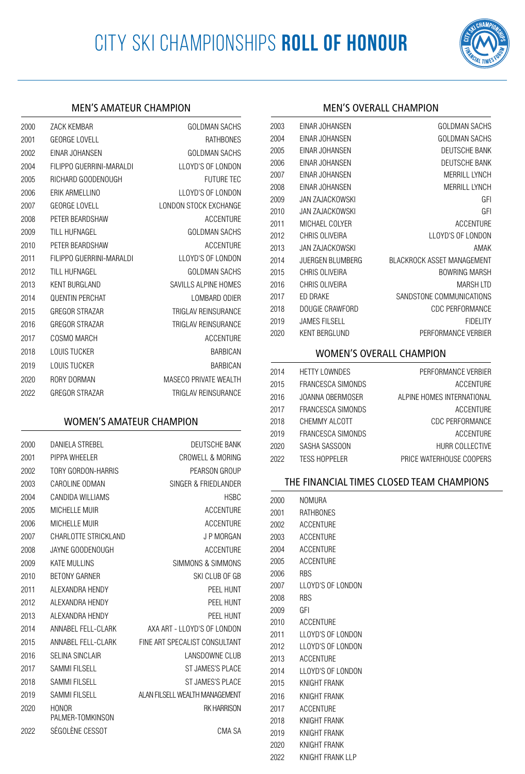

#### MEN'S OVERALL CHAMPION

| <b>GOLDMAN SACHS</b>              | EINAR JOHANSEN          | 2003 |
|-----------------------------------|-------------------------|------|
| GOLDMAN SACHS                     | EINAR JOHANSEN          | 2004 |
| DEUTSCHE BANK                     | EINAR JOHANSEN          | 2005 |
| <b>DEUTSCHE BANK</b>              | EINAR JOHANSEN          | 2006 |
| <b>MERRILL LYNCH</b>              | EINAR JOHANSEN          | 2007 |
| <b>MERRILL LYNCH</b>              | EINAR JOHANSEN          | 2008 |
| GFI                               | JAN ZAJACKOWSKI         | 2009 |
| GFI                               | <b>JAN ZAJACKOWSKI</b>  | 2010 |
| <b>ACCENTURE</b>                  | MICHAEL COLYER          | 2011 |
| LLOYD'S OF LONDON                 | CHRIS OLIVEIRA          | 2012 |
| AMAK                              | <b>JAN ZAJACKOWSKI</b>  | 2013 |
| <b>BLACKROCK ASSET MANAGEMENT</b> | <b>JUERGEN BLUMBERG</b> | 2014 |
| <b>BOWRING MARSH</b>              | CHRIS OLIVEIRA          | 2015 |
| <b>MARSH LTD</b>                  | CHRIS OLIVEIRA          | 2016 |
| SANDSTONE COMMUNICATIONS          | ED DRAKE                | 2017 |
| CDC PERFORMANCE                   | DOUGIE CRAWFORD         | 2018 |
| FIDELITY                          | <b>JAMES FILSELL</b>    | 2019 |
| PERFORMANCE VERBIER               | KENT BERGLUND           | 2020 |
|                                   |                         |      |

#### WOMEN'S OVERALL CHAMPION

| 2014 | <b>HETTY LOWNDES</b>     | PERFORMANCE VERBIER        |
|------|--------------------------|----------------------------|
| 2015 | FRANCESCA SIMONDS        | <b>ACCENTURE</b>           |
| 2016 | JOANNA OBERMOSER         | ALPINE HOMES INTERNATIONAL |
| 2017 | <b>FRANCESCA SIMONDS</b> | ACCENTURE                  |
| 2018 | CHEMMY ALCOTT            | <b>CDC PERFORMANCE</b>     |
| 2019 | <b>FRANCESCA SIMONDS</b> | <b>ACCENTURE</b>           |
| 2020 | SASHA SASSOON            | <b>HURR COLLECTIVE</b>     |
| 2022 | <b>TESS HOPPELER</b>     | PRICE WATERHOUSE COOPERS   |
|      |                          |                            |

#### THE FINANCIAL TIMES CLOSED TEAM CHAMPIONS

| 2000 | <b>NOMURA</b>      |  |  |  |
|------|--------------------|--|--|--|
| 2001 | <b>RATHBONES</b>   |  |  |  |
| 2002 | ACCENTURE          |  |  |  |
| 2003 | ACCENTURE          |  |  |  |
| 2004 | <b>ACCENTURE</b>   |  |  |  |
| 2005 | ACCENTURE          |  |  |  |
| 2006 | <b>RBS</b>         |  |  |  |
| 2007 | LLOYD'S OF LONDON  |  |  |  |
| 2008 | <b>RBS</b>         |  |  |  |
| 2009 | GFI                |  |  |  |
| 2010 | ACCENTURE          |  |  |  |
| 2011 | LLOYD'S OF LONDON  |  |  |  |
| 2012 | LLOYD'S OF LONDON  |  |  |  |
| 2013 | ACCENTURE          |  |  |  |
| 2014 | LLOYD'S OF LONDON  |  |  |  |
| 2015 | KNIGHT FRANK       |  |  |  |
| 2016 | KNIGHT FRANK       |  |  |  |
| 2017 | ACCENTURE          |  |  |  |
| 2018 | KNIGHT FRANK       |  |  |  |
| 2019 | KNIGHT FRANK       |  |  |  |
| 2020 | KNIGHT FRANK       |  |  |  |
| 2022 | KNIGHT FRANK I I P |  |  |  |

#### MEN'S AMATEUR CHAMPION

| 2000 | <b>7ACK KFMBAR</b>       | GOI DMAN SACHS        |
|------|--------------------------|-----------------------|
| 2001 | GEORGE LOVELL            | <b>RATHBONES</b>      |
| 2002 | EINAR JOHANSEN           | <b>GOLDMAN SACHS</b>  |
| 2004 | FILIPPO GUERRINI-MARALDI | LLOYD'S OF LONDON     |
| 2005 | RICHARD GOODENOUGH       | <b>FUTURE TEC</b>     |
| 2006 | FRIK ARMELLINO           | LLOYD'S OF LONDON     |
| 2007 | GEORGE LOVELL            | LONDON STOCK EXCHANGE |
| 2008 | PETER BEARDSHAW          | <b>ACCENTURE</b>      |
| 2009 | TILL HUFNAGEL            | <b>GOLDMAN SACHS</b>  |
| 2010 | PFTFR BEARDSHAW          | <b>ACCENTURE</b>      |
| 2011 | FILIPPO GUERRINI-MARALDI | LLOYD'S OF LONDON     |
| 2012 | TILL HUFNAGEL            | GOLDMAN SACHS         |
| 2013 | KENT BURGLAND            | SAVILLS ALPINE HOMES  |
| 2014 | <b>QUENTIN PERCHAT</b>   | LOMBARD ODIER         |
| 2015 | <b>GREGOR STRAZAR</b>    | TRIGLAV REINSURANCE   |
| 2016 | <b>GREGOR STRAZAR</b>    | TRIGLAV REINSURANCE   |
| 2017 | COSMO MARCH              | <b>ACCENTURE</b>      |
| 2018 | LOUIS TUCKER             | <b>BARBICAN</b>       |
| 2019 | LOUIS TUCKER             | <b>BARBICAN</b>       |
| 2020 | <b>RORY DORMAN</b>       | MASECO PRIVATE WEALTH |
| 2022 | <b>GREGOR STRAZAR</b>    | TRIGLAV REINSURANCE   |

# WOMEN'S AMATEUR CHAMPION

| 2000 | DANIELA STREBEL                  | DEUTSCHE BANK                  |
|------|----------------------------------|--------------------------------|
| 2001 | PIPPA WHEELER                    | CROWELL & MORING               |
| 2002 | <b>TORY GORDON-HARRIS</b>        | PEARSON GROUP                  |
| 2003 | CAROLINE ODMAN                   | SINGER & FRIEDLANDER           |
| 2004 | CANDIDA WILLIAMS                 | <b>HSBC</b>                    |
| 2005 | MICHELLE MUIR                    | ACCENTURE                      |
| 2006 | MICHELLE MUIR                    | <b>ACCENTURE</b>               |
| 2007 | CHARLOTTE STRICKLAND             | J P MORGAN                     |
| 2008 | JAYNE GOODENOUGH                 | <b>ACCENTURE</b>               |
| 2009 | <b>KATE MULLINS</b>              | SIMMONS & SIMMONS              |
| 2010 | <b>BETONY GARNER</b>             | SKI CLUB OF GB                 |
| 2011 | ALEXANDRA HENDY                  | PEEL HUNT                      |
| 2012 | AI FXANDRA HENDY                 | PEEL HUNT                      |
| 2013 | ALEXANDRA HENDY                  | PEEL HUNT                      |
| 2014 | ANNABEL FELL-CLARK               | AXA ART - LLOYD'S OF LONDON    |
| 2015 | ANNABEL FELL-CLARK               | FINE ART SPECALIST CONSULTANT  |
| 2016 | SELINA SINCLAIR                  | LANSDOWNE CLUB                 |
| 2017 | SAMMI FILSELL                    | ST JAMES'S PLACE               |
| 2018 | SAMMI FILSELL                    | ST JAMES'S PLACE               |
| 2019 | <b>SAMMI FILSELL</b>             | ALAN FILSELL WEALTH MANAGEMENT |
| 2020 | <b>HONOR</b><br>PALMER-TOMKINSON | <b>RK HARRISON</b>             |
| 2022 | SÉGOLÈNE CESSOT                  | CMA SA                         |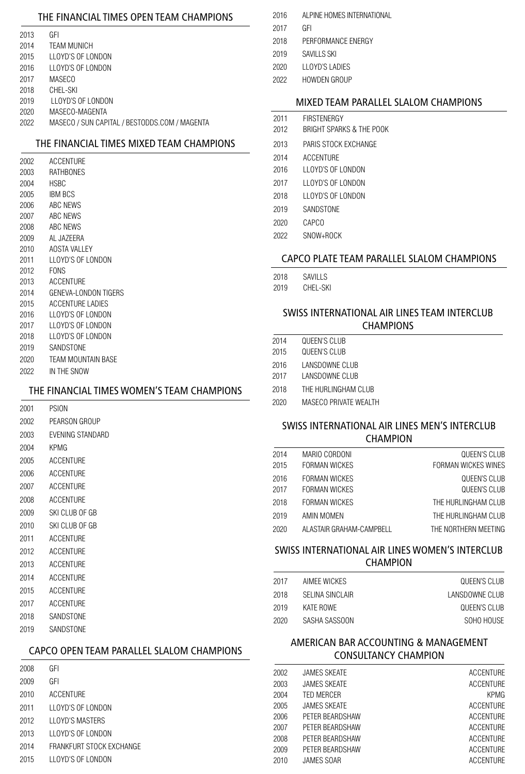#### THE FINANCIAL TIMES OPEN TEAM CHAMPIONS

| 2013 | GFI |
|------|-----|
|      |     |

- TEAM MUNICH LLOYD'S OF LONDON
- LLOYD'S OF LONDON
- MASECO
- CHEL-SKI
- 2019 LLOYD'S OF LONDON
- MASECO-MAGENTA
- MASECO / SUN CAPITAL / BESTODDS.COM / MAGENTA

#### THE FINANCIAL TIMES MIXED TEAM CHAMPIONS

| 2002-     | <b>ACCENTURE</b>          |
|-----------|---------------------------|
| 2003      | RATHBONES                 |
| 2004      | <b>HSBC</b>               |
| 2005      | IBM BCS                   |
|           | 2006 ABC NEWS             |
|           | 2007 ABC NEWS             |
|           | 2008 ABC NEWS             |
| 2009      | AL JAZEFRA                |
| 2010      | AOSTA VALLEY              |
| 2011      | LLOYD'S OF LONDON         |
| 2012 FONS |                           |
|           | 2013 ACCENTURE            |
| 2014      | GENEVA-LONDON TIGERS      |
| 2015      | ACCENTURE LADIES          |
| 2016      | LLOYD'S OF LONDON         |
| 2017      | LLOYD'S OF LONDON         |
| 2018      | LLOYD'S OF LONDON         |
| 2019      | SANDSTONE                 |
| 2020      | <b>TEAM MOUNTAIN BASE</b> |
| 2022      | IN THE SNOW               |

## THE FINANCIAL TIMES WOMEN'S TEAM CHAMPIONS

| 2001 | PSION                   |
|------|-------------------------|
| 2002 | PEARSON GROUP           |
| 2003 | <b>EVENING STANDARD</b> |
| 2004 | KPMG                    |
| 2005 | ACCENTURE               |
| 2006 | <b>ACCENTURE</b>        |
| 2007 | <b>ACCENTURE</b>        |
| 2008 | ACCENTURE               |
| 2009 | SKI CLUB OF GB          |
| 2010 | SKI CLUB OF GB          |
| 2011 | ACCENTURE               |
| 2012 | <b>ACCENTURE</b>        |
| 2013 | ACCENTURE               |
| 2014 | <b>ACCENTURE</b>        |
| 2015 | <b>ACCENTURE</b>        |
| 2017 | <b>ACCENTURE</b>        |
| 2018 | SANDSTONE               |
| 2019 | SANDSTONE               |
|      |                         |

#### CAPCO OPEN TEAM PARALLEL SLALOM CHAMPIONS

| 2008 | GFI                      |
|------|--------------------------|
| 2009 | GFI                      |
| 2010 | ACCENTURE                |
| 2011 | LLOYD'S OF LONDON        |
| 2012 | LLOYD'S MASTERS          |
| 2013 | LLOYD'S OF LONDON        |
| 2014 | FRANKFURT STOCK EXCHANGE |
| 2015 | LLOYD'S OF LONDON        |
|      |                          |

- ALPINE HOMES INTERNATIONAL
- GFI
- PERFORMANCE ENERGY
- SAVILLS SKI
- LLOYD'S LADIES
- HOWDEN GROUP

## MIXED TEAM PARALLEL SLALOM CHAMPIONS

- FIRSTENERGY BRIGHT SPARKS & THE POOK
- PARIS STOCK EXCHANGE
- ACCENTURE
- LLOYD'S OF LONDON
- LLOYD'S OF LONDON
- LLOYD'S OF LONDON
- SANDSTONE
- CAPCO
- SNOW+ROCK

#### CAPCO PLATE TEAM PARALLEL SLALOM CHAMPIONS

- SAVILLS
- CHEL-SKI

## SWISS INTERNATIONAL AIR LINES TEAM INTERCLUB CHAMPIONS

| 2014 | QUEEN'S CLUB          |  |
|------|-----------------------|--|
| 2015 | <b>QUEEN'S CLUB</b>   |  |
| 2016 | LANSDOWNE CLUB        |  |
| 2017 | LANSDOWNE CLUB        |  |
| 2018 | THE HURLINGHAM CLUB   |  |
| 2020 | MASECO PRIVATE WEALTH |  |

## SWISS INTERNATIONAL AIR LINES MEN'S INTERCLUB CHAMPION

| 2014 | MARIO CORDONI            | <b>QUEEN'S CLUB</b>        |
|------|--------------------------|----------------------------|
| 2015 | <b>FORMAN WICKES</b>     | <b>FORMAN WICKES WINES</b> |
| 2016 | <b>FORMAN WICKES</b>     | QUEEN'S CLUB               |
| 2017 | <b>FORMAN WICKES</b>     | QUEEN'S CLUB               |
| 2018 | <b>FORMAN WICKES</b>     | THE HURLINGHAM CLUB        |
| 2019 | AMIN MOMEN               | THE HURLINGHAM CLUB        |
| 2020 | ALASTAIR GRAHAM-CAMPBELL | THE NORTHERN MEETING       |
|      |                          |                            |

# SWISS INTERNATIONAL AIR LINES WOMEN'S INTERCLUB CHAMPION

| 2017  | AIMEE WICKES    | QUEEN'S CLUB   |
|-------|-----------------|----------------|
| 2018  | SELINA SINCLAIR | LANSDOWNE CLUB |
| 2019  | KATE ROWE       | QUEEN'S CLUB   |
| 2020. | SASHA SASSOON   | SOHO HOUSE     |
|       |                 |                |

## AMERICAN BAR ACCOUNTING & MANAGEMENT CONSULTANCY CHAMPION

| 2002 | <b>JAMES SKEATE</b> | <b>ACCENTURE</b> |
|------|---------------------|------------------|
| 2003 | <b>JAMES SKEATE</b> | <b>ACCENTURE</b> |
| 2004 | <b>TED MERCER</b>   | <b>KPMG</b>      |
| 2005 | <b>JAMES SKEATE</b> | <b>ACCENTURE</b> |
| 2006 | PETER BEARDSHAW     | <b>ACCENTURE</b> |
| 2007 | PETER BEARDSHAW     | <b>ACCENTURE</b> |
| 2008 | PETER BEARDSHAW     | <b>ACCENTURE</b> |
| 2009 | PETER BEARDSHAW     | <b>ACCENTURE</b> |
| 2010 | <b>JAMES SOAR</b>   | <b>ACCENTURE</b> |
|      |                     |                  |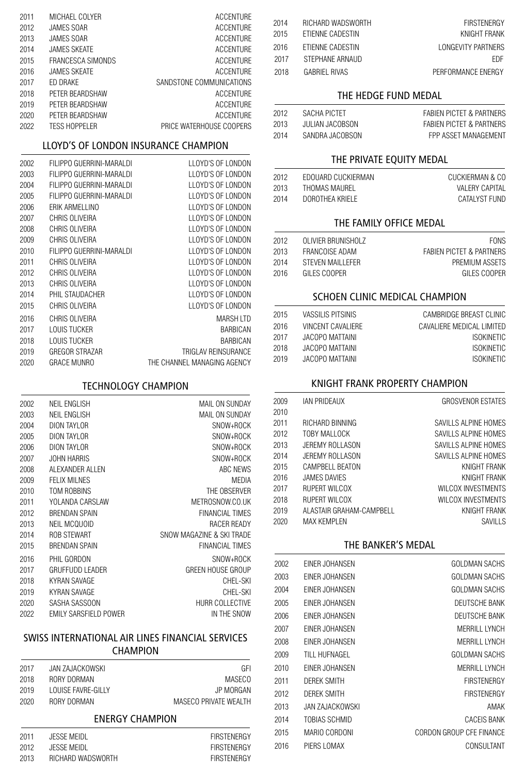| 2011 | MICHAEL COLYER           | <b>ACCENTURE</b>         |
|------|--------------------------|--------------------------|
| 2012 | <b>JAMES SOAR</b>        | <b>ACCENTURE</b>         |
| 2013 | <b>JAMES SOAR</b>        | <b>ACCENTURE</b>         |
| 2014 | <b>JAMES SKEATE</b>      | ACCENTURE                |
| 2015 | <b>FRANCESCA SIMONDS</b> | <b>ACCENTURE</b>         |
| 2016 | <b>JAMES SKEATE</b>      | <b>ACCENTURE</b>         |
| 2017 | ED DRAKE                 | SANDSTONE COMMUNICATIONS |
| 2018 | PETER BEARDSHAW          | ACCENTURE                |
| 2019 | PETER BEARDSHAW          | <b>ACCENTURE</b>         |
| 2020 | PETER BEARDSHAW          | <b>ACCENTURE</b>         |
| 2022 | <b>TESS HOPPELER</b>     | PRICE WATERHOUSE COOPERS |
|      |                          |                          |

#### LLOYD'S OF LONDON INSURANCE CHAMPION

| 2002 | FILIPPO GUERRINI-MARALDI | LLOYD'S OF LONDON           |
|------|--------------------------|-----------------------------|
| 2003 | FILIPPO GUERRINI-MARALDI | LLOYD'S OF LONDON           |
| 2004 | FILIPPO GUERRINI-MARALDI | LLOYD'S OF LONDON           |
| 2005 | FILIPPO GUERRINI-MARALDI | LLOYD'S OF LONDON           |
| 2006 | ERIK ARMELLINO           | LLOYD'S OF LONDON           |
| 2007 | CHRIS OLIVEIRA           | LLOYD'S OF LONDON           |
| 2008 | CHRIS OLIVEIRA           | LLOYD'S OF LONDON           |
| 2009 | CHRIS OLIVEIRA           | LLOYD'S OF LONDON           |
| 2010 | FILIPPO GUERRINI-MARALDI | LLOYD'S OF LONDON           |
| 2011 | CHRIS OLIVEIRA           | LLOYD'S OF LONDON           |
| 2012 | CHRIS OLIVEIRA           | LLOYD'S OF LONDON           |
| 2013 | CHRIS OLIVEIRA           | LLOYD'S OF LONDON           |
| 2014 | PHIL STAUDACHER          | LLOYD'S OF LONDON           |
| 2015 | CHRIS OLIVEIRA           | LLOYD'S OF LONDON           |
| 2016 | CHRIS OLIVEIRA           | <b>MARSH LTD</b>            |
| 2017 | LOUIS TUCKER             | <b>BARBICAN</b>             |
| 2018 | LOUIS TUCKER             | <b>BARBICAN</b>             |
| 2019 | GREGOR STRAZAR           | TRIGLAV REINSURANCE         |
| 2020 | GRACE MUNRO              | THE CHANNEL MANAGING AGENCY |
|      |                          |                             |

#### TECHNOLOGY CHAMPION

| 2002 | NEIL ENGLISH          | MAIL ON SUNDAY            |
|------|-----------------------|---------------------------|
| 2003 | NEIL ENGLISH          | MAIL ON SUNDAY            |
| 2004 | DION TAYLOR           | SNOW+ROCK                 |
| 2005 | DION TAYLOR           | SNOW+ROCK                 |
| 2006 | DION TAYLOR           | SNOW+ROCK                 |
| 2007 | <b>JOHN HARRIS</b>    | SNOW+ROCK                 |
| 2008 | ALEXANDER ALLEN       | ABC NEWS                  |
| 2009 | <b>FELIX MILNES</b>   | MEDIA                     |
| 2010 | <b>TOM ROBBINS</b>    | THE OBSERVER              |
| 2011 | YOLANDA CARSLAW       | METROSNOW.CO.UK           |
| 2012 | <b>BRENDAN SPAIN</b>  | <b>FINANCIAL TIMES</b>    |
| 2013 | NEIL MCQUOID          | RACER READY               |
| 2014 | <b>ROB STEWART</b>    | SNOW MAGAZINE & SKI TRADE |
| 2015 | BRENDAN SPAIN         | <b>FINANCIAL TIMES</b>    |
| 2016 | PHIL GORDON           | SNOW+ROCK                 |
| 2017 | GRUFFUDD LEADER       | GREEN HOUSE GROUP         |
| 2018 | KYRAN SAVAGE          | CHEL-SKI                  |
| 2019 | KYRAN SAVAGE          | CHEL-SKI                  |
| 2020 | SASHA SASSOON         | <b>HURR COLLECTIVE</b>    |
| 2022 | EMILY SARSFIELD POWER | IN THE SNOW               |

#### SWISS INTERNATIONAL AIR LINES FINANCIAL SERVICES CHAMPION

| 2011 | JESSE MEIDL            | FIRSTENERGY           |
|------|------------------------|-----------------------|
|      | <b>ENERGY CHAMPION</b> |                       |
| 2020 | RORY DORMAN            | MASECO PRIVATE WEALTH |
| 2019 | LOUISE FAVRE-GILLY     | JP MORGAN             |
| 2018 | RORY DORMAN            | <b>MASECO</b>         |
| 2017 | JAN ZAJACKOWSKI        | GFI                   |
|      |                        |                       |

2012 JESSE MEIDL **FIRSTENERGY** 2013 RICHARD WADSWORTH FIRSTENERGY

| 2014 | RICHARD WADSWORTH | FIRSTENFRGY        |
|------|-------------------|--------------------|
| 2015 | ETIENNE CADESTIN  | KNIGHT FRANK       |
| 2016 | ETIENNE CADESTIN  | LONGEVITY PARTNERS |
| 2017 | STEPHANE ARNAUD   | FDF                |
| 2018 | GABRIEL RIVAS     | PERFORMANCE ENERGY |
|      |                   |                    |

# THE HEDGE FUND MEDAL

| 2012. | SACHA PICTET    | <b>FABIEN PICTET &amp; PARTNERS</b> |
|-------|-----------------|-------------------------------------|
| 2013. | JULIAN JACOBSON | <b>FABIEN PICTET &amp; PARTNERS</b> |
| 2014  | SANDRA JACOBSON | FPP ASSET MANAGEMENT                |

# THE PRIVATE EQUITY MEDAL

| 2012 | EDOUARD CUCKIERMAN | CUCKIERMAN & CO |
|------|--------------------|-----------------|
| 2013 | THOMAS MAUREL      | VALERY CAPITAL  |
| 2014 | DOROTHEA KRIELE    | CATALYST FUND   |

#### THE FAMILY OFFICE MEDAL

| OLIVIER BRUNISHOLZ | <b>FONS</b>                         |
|--------------------|-------------------------------------|
| FRANCOISE ADAM     | <b>FABIEN PICTET &amp; PARTNERS</b> |
| STEVEN MAILLEFER   | PREMIUM ASSETS                      |
| GILES COOPER       | GILES COOPER                        |
|                    |                                     |

## SCHOEN CLINIC MEDICAL CHAMPION

| VASSILIS PITSINIS<br>2015 | CAMBRIDGE BREAST CLINIC   |
|---------------------------|---------------------------|
| VINCENT CAVALIERE<br>2016 | CAVALIERE MEDICAL LIMITED |
| JACOPO MATTAINI<br>2017   | <b>ISOKINETIC</b>         |
| JACOPO MATTAINI<br>2018   | <b>ISOKINETIC</b>         |
| JACOPO MATTAINI<br>2019   | <b>ISOKINETIC</b>         |
|                           |                           |

# KNIGHT FRANK PROPERTY CHAMPION

| 2009 | <b>JAN PRIDEAUX</b>      | <b>GROSVENOR ESTATES</b> |
|------|--------------------------|--------------------------|
| 2010 |                          |                          |
| 2011 | RICHARD BINNING          | SAVILLS ALPINE HOMES     |
| 2012 | TOBY MALLOCK             | SAVILLS ALPINE HOMES     |
| 2013 | JEREMY ROLLASON          | SAVILLS ALPINE HOMES     |
| 2014 | JEREMY ROLLASON          | SAVILLS ALPINE HOMES     |
| 2015 | CAMPBELL BEATON          | KNIGHT FRANK             |
| 2016 | <b>JAMES DAVIES</b>      | KNIGHT FRANK             |
| 2017 | RUPERT WILCOX            | WILCOX INVESTMENTS       |
| 2018 | <b>RUPERT WILCOX</b>     | WILCOX INVESTMENTS       |
| 2019 | ALASTAIR GRAHAM-CAMPBELL | KNIGHT FRANK             |
| 2020 | <b>MAX KEMPLEN</b>       | <b>SAVILLS</b>           |
|      |                          |                          |

# THE BANKER'S MEDAL

| 2002 | EINER JOHANSEN         | GOLDMAN SACHS            |
|------|------------------------|--------------------------|
| 2003 | EINER JOHANSEN         | GOLDMAN SACHS            |
| 2004 | EINER JOHANSEN         | GOLDMAN SACHS            |
| 2005 | EINER JOHANSEN         | DEUTSCHE BANK            |
| 2006 | EINER JOHANSEN         | <b>DEUTSCHE BANK</b>     |
| 2007 | EINER JOHANSEN         | MERRILL LYNCH            |
| 2008 | EINER JOHANSEN         | <b>MERRILL LYNCH</b>     |
| 2009 | TILL HUFNAGEL          | GOLDMAN SACHS            |
| 2010 | EINER JOHANSEN         | MERRILL LYNCH            |
| 2011 | DEREK SMITH            | <b>FIRSTENERGY</b>       |
| 2012 | DEREK SMITH            | FIRSTENERGY              |
| 2013 | <b>JAN ZAJACKOWSKI</b> | AMAK                     |
| 2014 | TOBIAS SCHMID          | <b>CACEIS BANK</b>       |
| 2015 | MARIO CORDONI          | CORDON GROUP CFE FINANCE |
| 2016 | PIERS LOMAX            | CONSULTANT               |
|      |                        |                          |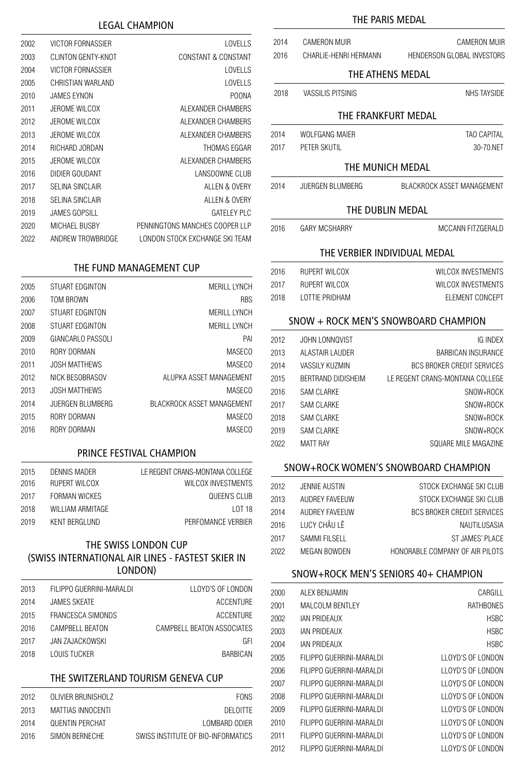# LEGAL CHAMPION

| 2002 | <b>VICTOR FORNASSIER</b>  | <b>LOVELLS</b>                 |
|------|---------------------------|--------------------------------|
| 2003 | <b>CLINTON GENTY-KNOT</b> | CONSTANT & CONSTANT            |
| 2004 | <b>VICTOR FORNASSIER</b>  | LOVELLS                        |
| 2005 | CHRISTIAN WARLAND         | <b>LOVELLS</b>                 |
| 2010 | <b>JAMES EYNON</b>        | <b>POONA</b>                   |
| 2011 | JEROME WILCOX             | ALEXANDER CHAMBERS             |
| 2012 | JEROME WILCOX             | ALEXANDER CHAMBERS             |
| 2013 | JEROME WILCOX             | ALEXANDER CHAMBERS             |
| 2014 | RICHARD JORDAN            | THOMAS EGGAR                   |
| 2015 | JEROME WILCOX             | ALEXANDER CHAMBERS             |
| 2016 | DIDIER GOUDANT            | <b>LANSDOWNE CLUB</b>          |
| 2017 | SELINA SINCLAIR           | ALLEN & OVERY                  |
| 2018 | SELINA SINCLAIR           | ALLEN & OVERY                  |
| 2019 | <b>JAMES GOPSILL</b>      | <b>GATELEY PLC</b>             |
| 2020 | MICHAEL BUSBY             | PENNINGTONS MANCHES COOPER LLP |
| 2022 | ANDREW TROWBRIDGE         | LONDON STOCK EXCHANGE SKI TEAM |
|      |                           |                                |

## THE FUND MANAGEMENT CUP

| 2005 | STUART EDGINTON      | MERILL LYNCH               |
|------|----------------------|----------------------------|
| 2006 | TOM BROWN            | <b>RBS</b>                 |
| 2007 | STUART EDGINTON      | MERILL LYNCH               |
| 2008 | STUART FDGINTON      | <b>MERILL LYNCH</b>        |
| 2009 | GIANCARI O PASSOLI   | PAI                        |
| 2010 | RORY DORMAN          | <b>MASECO</b>              |
| 2011 | JOSH MATTHEWS        | <b>MASECO</b>              |
| 2012 | NICK BESOBRASOV      | ALUPKA ASSET MANAGEMENT    |
| 2013 | <b>JOSH MATTHEWS</b> | <b>MASECO</b>              |
| 2014 | JUERGEN BLUMBERG     | BLACKROCK ASSET MANAGEMENT |
| 2015 | RORY DORMAN          | <b>MASECO</b>              |
| 2016 | RORY DORMAN          | <b>MASECO</b>              |
|      |                      |                            |

# PRINCE FESTIVAL CHAMPION

| 2015 | DENNIS MADER         | LE REGENT CRANS-MONTANA COLLEGE |
|------|----------------------|---------------------------------|
| 2016 | RUPERT WILCOX        | WILCOX INVESTMENTS              |
| 2017 | <b>FORMAN WICKES</b> | QUEEN'S CLUB                    |
| 2018 | WILLIAM ARMITAGE     | LOT 18                          |
| 2019 | KENT BERGLUND        | PERFOMANCE VERBIER              |

# THE SWISS LONDON CUP (SWISS INTERNATIONAL AIR LINES - FASTEST SKIER IN LONDON)

| 2013 | FILIPPO GUERRINI-MARALDI | LLOYD'S OF LONDON          |
|------|--------------------------|----------------------------|
| 2014 | JAMES SKEATE             | ACCENTURE                  |
| 2015 | FRANCESCA SIMONDS        | ACCENTURE                  |
| 2016 | CAMPBELL BEATON          | CAMPBELL BEATON ASSOCIATES |
| 2017 | JAN ZAJACKOWSKI          | GFI                        |
| 2018 | LOUIS TUCKER             | <b>BARBICAN</b>            |

#### THE SWITZERLAND TOURISM GENEVA CUP

| 2012 | OLIVIER BRUNISHOLZ | <b>FONS</b>                        |
|------|--------------------|------------------------------------|
| 2013 | MATTIAS INNOCENTI  | DELOITTE                           |
| 2014 | QUENTIN PERCHAT    | LOMBARD ODIER                      |
| 2016 | SIMON BERNECHE     | SWISS INSTITUTE OF BIO-INFORMATICS |

# THE PARIS MEDAL

| 2014 | CAMERON MUIR             | CAMERON MUIR                         |
|------|--------------------------|--------------------------------------|
| 2016 | CHARLIE-HENRI HERMANN    | HENDERSON GLOBAL INVESTORS           |
|      |                          |                                      |
|      |                          | THE ATHENS MEDAL                     |
| 2018 | <b>VASSILIS PITSINIS</b> | <b>NHS TAYSIDE</b>                   |
|      |                          | THE FRANKFURT MEDAL                  |
| 2014 | WOLFGANG MAIER           | TAO CAPITAL                          |
| 2017 | PETER SKUTIL             | 30-70.NET                            |
|      |                          | THE MUNICH MEDAL                     |
| 2014 | JUERGEN BLUMBERG         | BLACKROCK ASSET MANAGEMENT           |
|      |                          | THE DUBLIN MEDAL                     |
| 2016 | <b>GARY MCSHARRY</b>     | MCCANN FITZGERALD                    |
|      |                          | THE VERBIER INDIVIDUAL MEDAL         |
| 2016 | RUPERT WILCOX            | WILCOX INVESTMENTS                   |
| 2017 | <b>RUPERT WILCOX</b>     | <b>WILCOX INVESTMENTS</b>            |
| 2018 | <b>LOTTIE PRIDHAM</b>    | <b>ELEMENT CONCEPT</b>               |
|      |                          | SNOW + ROCK MEN'S SNOWBOARD CHAMPION |
| 2012 | JOHN LONNQVIST           | <b>IG INDEX</b>                      |
| 2013 | ALASTAIR LAUDER          | BARBICAN INSURANCE                   |
| 2014 | <b>VASSILY KUZMIN</b>    | <b>BCS BROKER CREDIT SERVICES</b>    |
| 2015 | BERTRAND DIDISHEIM       | LE REGENT CRANS-MONTANA COLLEGE      |
| 2016 | <b>SAM CLARKE</b>        | SNOW+ROCK                            |
| 2017 | <b>SAM CLARKE</b>        | SNOW+ROCK                            |
| 2018 | <b>SAM CLARKE</b>        | SNOW+ROCK                            |
| 2019 | <b>SAM CLARKE</b>        | SNOW+ROCK                            |
| 2022 | <b>MATT RAY</b>          | SOUARE MILE MAGAZINE                 |
|      |                          |                                      |

# SNOW+ROCK WOMEN'S SNOWBOARD CHAMPION

| 2012 | JENNIE AUSTIN        | STOCK EXCHANGE SKI CLUB           |
|------|----------------------|-----------------------------------|
| 2013 | AUDREY FAVEEUW       | STOCK EXCHANGE SKI CLUB           |
| 2014 | AUDREY FAVEEUW       | <b>BCS BROKER CREDIT SERVICES</b> |
| 2016 | LUCY CHÂU LÊ         | NAUTILUSASIA                      |
| 2017 | <b>SAMMI FILSELL</b> | ST JAMES' PLACE                   |
| 2022 | <b>MEGAN BOWDEN</b>  | HONORABLE COMPANY OF AIR PILOTS   |
|      |                      |                                   |

# SNOW+ROCK MEN'S SENIORS 40+ CHAMPION

| 2000 | ALEX BENJAMIN            | CARGILL           |
|------|--------------------------|-------------------|
| 2001 | MALCOLM BENTLEY          | <b>RATHBONES</b>  |
| 2002 | IAN PRIDEAUX             | <b>HSBC</b>       |
| 2003 | IAN PRIDEAUX             | <b>HSBC</b>       |
| 2004 | IAN PRIDEAUX             | <b>HSBC</b>       |
| 2005 | FILIPPO GUERRINI-MARALDI | LLOYD'S OF LONDON |
| 2006 | FILIPPO GUERRINI-MARALDI | LLOYD'S OF LONDON |
| 2007 | FILIPPO GUERRINI-MARALDI | LLOYD'S OF LONDON |
| 2008 | FILIPPO GUERRINI-MARALDI | LLOYD'S OF LONDON |
| 2009 | FILIPPO GUERRINI-MARALDI | LLOYD'S OF LONDON |
| 2010 | FILIPPO GUERRINI-MARALDI | LLOYD'S OF LONDON |
| 2011 | FILIPPO GUERRINI-MARALDI | LLOYD'S OF LONDON |
| 2012 | FILIPPO GUERRINI-MARALDI | LLOYD'S OF LONDON |
|      |                          |                   |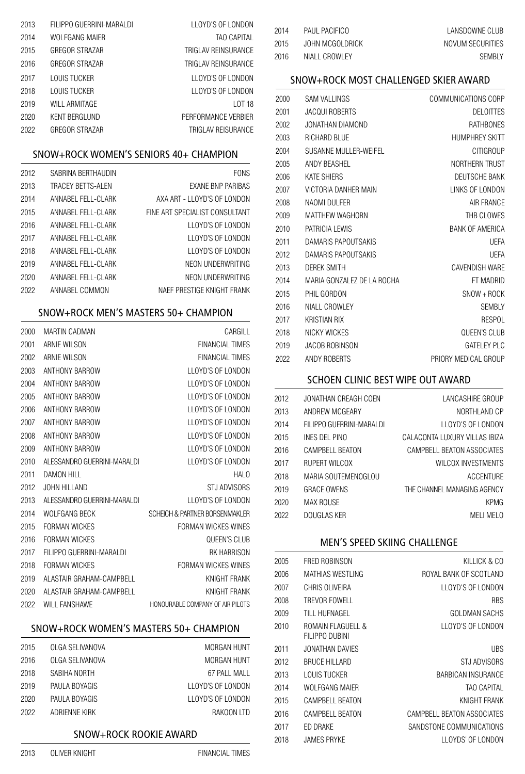| 2013 | FILIPPO GUERRINI-MARALDI | LLOYD'S OF LONDON   |
|------|--------------------------|---------------------|
| 2014 | WOLFGANG MAIER           | <b>TAO CAPITAL</b>  |
| 2015 | GREGOR STRAZAR           | TRIGLAV REINSURANCE |
| 2016 | GREGOR STRAZAR           | TRIGLAV REINSURANCE |
| 2017 | LOUIS TUCKER             | LLOYD'S OF LONDON   |
| 2018 | LOUIS TUCKER             | LLOYD'S OF LONDON   |
| 2019 | WILL ARMITAGE            | LOT 18              |
| 2020 | KENT BERGLUND            | PERFORMANCE VERBIER |
| 2022 | <b>GREGOR STRAZAR</b>    | TRIGLAV REISURANCE  |

## SNOW+ROCK WOMEN'S SENIORS 40+ CHAMPION

| 2012 | SABRINA BERTHAUDIN | <b>FONS</b>                    |
|------|--------------------|--------------------------------|
| 2013 | TRACEY BETTS-ALEN  | <b>EXANE BNP PARIBAS</b>       |
| 2014 | ANNABEL FELL-CLARK | AXA ART - LLOYD'S OF LONDON    |
| 2015 | ANNABEL FELL-CLARK | FINE ART SPECIALIST CONSULTANT |
| 2016 | ANNABEL FELL-CLARK | LLOYD'S OF LONDON              |
| 2017 | ANNABEL FELL-CLARK | LLOYD'S OF LONDON              |
| 2018 | ANNABEL FELL-CLARK | LLOYD'S OF LONDON              |
| 2019 | ANNABEL FELL-CLARK | NEON UNDERWRITING              |
| 2020 | ANNABEL FELL-CLARK | NEON UNDERWRITING              |
| 2022 | ANNABEL COMMON     | NAEF PRESTIGE KNIGHT FRANK     |

# SNOW+ROCK MEN'S MASTERS 50+ CHAMPION

| 2000 | <b>MARTIN CADMAN</b>        | CARGILL                          |
|------|-----------------------------|----------------------------------|
| 2001 | ARNIF WILSON                | <b>FINANCIAL TIMES</b>           |
| 2002 | ARNIE WILSON                | <b>FINANCIAL TIMES</b>           |
| 2003 | ANTHONY BARROW              | LLOYD'S OF LONDON                |
| 2004 | ANTHONY BARROW              | LLOYD'S OF LONDON                |
| 2005 | ANTHONY BARROW              | LLOYD'S OF LONDON                |
| 2006 | ANTHONY BARROW              | LLOYD'S OF LONDON                |
| 2007 | ANTHONY BARROW              | LLOYD'S OF LONDON                |
| 2008 | ANTHONY BARROW              | LLOYD'S OF LONDON                |
| 2009 | ANTHONY BARROW              | LLOYD'S OF LONDON                |
| 2010 | ALESSANDRO GUERRINI-MARALDI | LLOYD'S OF LONDON                |
| 2011 | DAMON HILL                  | HAL 0                            |
| 2012 | JOHN HILLAND                | STJ ADVISORS                     |
| 2013 | ALESSANDRO GUERRINI-MARALDI | LLOYD'S OF LONDON                |
| 2014 | WOLFGANG BECK               | SCHEICH & PARTNER BORSENMAKLER   |
| 2015 | <b>FORMAN WICKES</b>        | FORMAN WICKES WINES              |
| 2016 | FORMAN WICKES               | <b>QUEEN'S CLUB</b>              |
| 2017 | FILIPPO GUERRINI-MARALDI    | <b>RK HARRISON</b>               |
| 2018 | FORMAN WICKES               | FORMAN WICKES WINES              |
| 2019 | ALASTAIR GRAHAM-CAMPBELL    | KNIGHT FRANK                     |
| 2020 | ALASTAIR GRAHAM-CAMPRELL    | KNIGHT FRANK                     |
| 2022 | WILL FANSHAWE               | HONOURABLE COMPANY OF AIR PILOTS |

## SNOW+ROCK WOMEN'S MASTERS 50+ CHAMPION

| 2015 | OLGA SELIVANOVA | MORGAN HUNT       |
|------|-----------------|-------------------|
| 2016 | OLGA SELIVANOVA | MORGAN HUNT       |
| 2018 | SABIHA NORTH    | 67 PALL MALL      |
| 2019 | PAULA BOYAGIS   | LLOYD'S OF LONDON |
| 2020 | PAULA BOYAGIS   | LLOYD'S OF LONDON |
| 2022 | ADRIFNNF KIRK   | RAKOON LTD        |

## SNOW+ROCK ROOKIE AWARD

| 2014 | PAUL PACIFICO   | LANSDOWNE CLUB   |
|------|-----------------|------------------|
| 2015 | JOHN MCGOLDRICK | NOVUM SECURITIES |
| 2016 | NIALL CROWLEY   | <b>SEMBLY</b>    |

#### SNOW+ROCK MOST CHALLENGED SKIER AWARD

| 2000 | <b>SAM VALLINGS</b>        | COMMUNICATIONS CORP    |
|------|----------------------------|------------------------|
| 2001 | JACQUI ROBERTS             | <b>DELOITTES</b>       |
| 2002 | JONATHAN DIAMOND           | <b>RATHBONES</b>       |
| 2003 | <b>RICHARD BLUE</b>        | <b>HUMPHREY SKITT</b>  |
| 2004 | SUSANNE MULLER-WEIFEL      | <b>CITIGROUP</b>       |
| 2005 | ANDY BEASHEL               | NORTHERN TRUST         |
| 2006 | <b>KATE SHIERS</b>         | DEUTSCHE BANK          |
| 2007 | VICTORIA DANHER MAIN       | LINKS OF LONDON        |
| 2008 | NAOMI DULFER               | <b>AIR FRANCE</b>      |
| 2009 | <b>MATTHEW WAGHORN</b>     | THB CLOWES             |
| 2010 | PATRICIA LEWIS             | <b>BANK OF AMERICA</b> |
| 2011 | DAMARIS PAPOUTSAKIS        | UEFA                   |
| 2012 | DAMARIS PAPOUTSAKIS        | UEFA                   |
| 2013 | <b>DEREK SMITH</b>         | <b>CAVENDISH WARE</b>  |
| 2014 | MARIA GONZALEZ DE LA ROCHA | FT MADRID              |
| 2015 | PHIL GORDON                | $SNOW + ROCK$          |
| 2016 | NIALL CROWLEY              | <b>SEMBLY</b>          |
| 2017 | <b>KRISTIAN RIX</b>        | <b>RESPOL</b>          |
| 2018 | NICKY WICKES               | QUEEN'S CLUB           |
| 2019 | JACOB ROBINSON             | <b>GATELEY PLC</b>     |
| 2022 | ANDY ROBERTS               | PRIORY MEDICAL GROUP   |

# SCHOEN CLINIC BEST WIPE OUT AWARD

| 2012 | JONATHAN CREAGH COEN     | <b>LANCASHIRE GROUP</b>       |
|------|--------------------------|-------------------------------|
| 2013 | ANDREW MCGEARY           | NORTHLAND CP                  |
| 2014 | FILIPPO GUERRINI-MARALDI | LLOYD'S OF LONDON             |
| 2015 | INES DEL PINO            | CALACONTA LUXURY VILLAS IBIZA |
| 2016 | CAMPBELL BEATON          | CAMPBELL BEATON ASSOCIATES    |
| 2017 | RUPERT WILCOX            | <b>WILCOX INVESTMENTS</b>     |
| 2018 | MARIA SOUTEMENOGLOU      | <b>ACCENTURE</b>              |
| 2019 | <b>GRACE OWENS</b>       | THE CHANNEL MANAGING AGENCY   |
| 2020 | MAX ROUSE                | <b>KPMG</b>                   |
| 2022 | DOUGLAS KER              | <b>MELI MELO</b>              |
|      |                          |                               |

# MEN'S SPEED SKIING CHALLENGE

| KILLICK & CO               | FRED ROBINSON                       | 2005 |
|----------------------------|-------------------------------------|------|
| ROYAL BANK OF SCOTLAND     | MATHIAS WESTLING                    | 2006 |
| LLOYD'S OF LONDON          | CHRIS OLIVEIRA                      | 2007 |
| <b>RBS</b>                 | TREVOR FOWELL                       | 2008 |
| GOLDMAN SACHS              | TILL HUFNAGEL                       | 2009 |
| LLOYD'S OF LONDON          | ROMAIN FLAGUELL &<br>FILIPPO DUBINI | 2010 |
| UBS                        | JONATHAN DAVIES                     | 2011 |
| <b>STJ ADVISORS</b>        | BRUCE HILLARD                       | 2012 |
| <b>BARBICAN INSURANCE</b>  | <b>LOUIS TUCKER</b>                 | 2013 |
| <b>TAO CAPITAL</b>         | WOLFGANG MAIER                      | 2014 |
| KNIGHT FRANK               | <b>CAMPBELL BEATON</b>              | 2015 |
| CAMPBELL BEATON ASSOCIATES | CAMPBELL BEATON                     | 2016 |
| SANDSTONE COMMUNICATIONS   | ED DRAKE                            | 2017 |
| LLOYDS' OF LONDON          | JAMES PRYKE                         | 2018 |